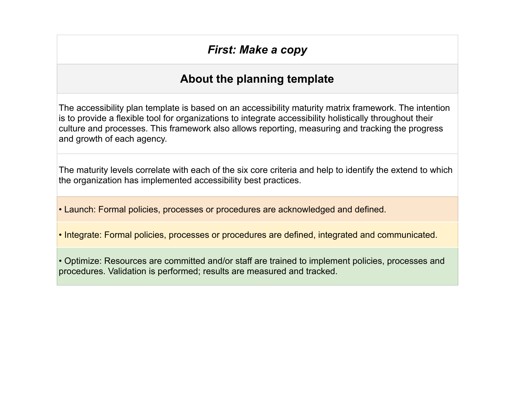## *First: Make a copy*

## **About the planning template**

The accessibility plan template is based on an accessibility maturity matrix framework. The intention is to provide a flexible tool for organizations to integrate accessibility holistically throughout their culture and processes. This framework also allows reporting, measuring and tracking the progress and growth of each agency.

The maturity levels correlate with each of the six core criteria and help to identify the extend to which the organization has implemented accessibility best practices.

• Launch: Formal policies, processes or procedures are acknowledged and defined.

• Integrate: Formal policies, processes or procedures are defined, integrated and communicated.

• Optimize: Resources are committed and/or staff are trained to implement policies, processes and procedures. Validation is performed; results are measured and tracked.